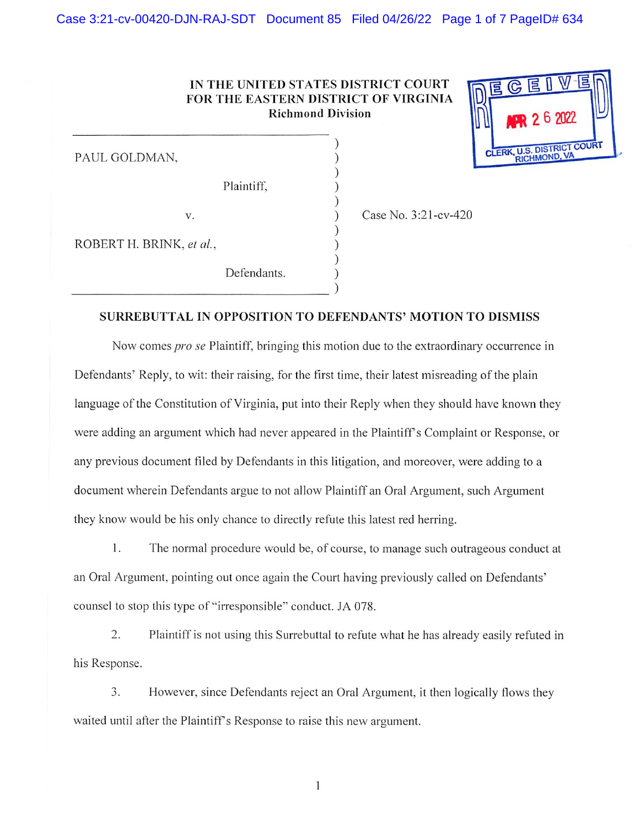## IN THE UNITED STATES DISTRICT COURT FOR THE EASTERN DISTRICT OF VIRGINIA Richmond Division

 $\sum_{i=1}^{n}$  $\int$  $\int$  $\sum_{i=1}^{n}$  $\sum_{i=1}^{n}$ 

 $\int$ 

PAUL GOLDMAN,

Plaintiff,

V.

) Case No. 3:21 -cv-420

**DISTRICT RICHMOND** 

**E** 

 $\mathbb{G}$ 

ROBERT H. BRINK, et al,

Defendants.

## SURREBUTTAL IN OPPOSITION TO DEFENDANTS' MOTION TO DISMISS

Now comes pro se Plaintiff, bringing this motion due to the extraordinary occurrence in Defendants' Reply, to wit: their raising, for the first time, their latest misreading of the plain language of the Constitution of Virginia, put into their Reply when they should have known they were adding an argument which had never appeared in the Plaintiffs Complaint or Response, or any previous document filed by Defendants in this litigation, and moreover, were adding to a document wherein Defendants argue to not allow Plaintiff an Oral Argument, such Argument they know would be his only chance to directly refute this latest red herring.

1. The normal procedure would be, of course, to manage such outrageous conduct at an Oral Argument, pointing out once again the Court having previously called on Defendants' counsel to stop this type of "irresponsible" conduct. JA 078.

2. Plaintiff is not using this Surrebuttal to refute what he has already easily refuted in his Response.

3. However, since Defendants reject an Oral Argument, it then logically flows they waited until after the Plaintiff's Response to raise this new argument.

 $\mathbf{1}$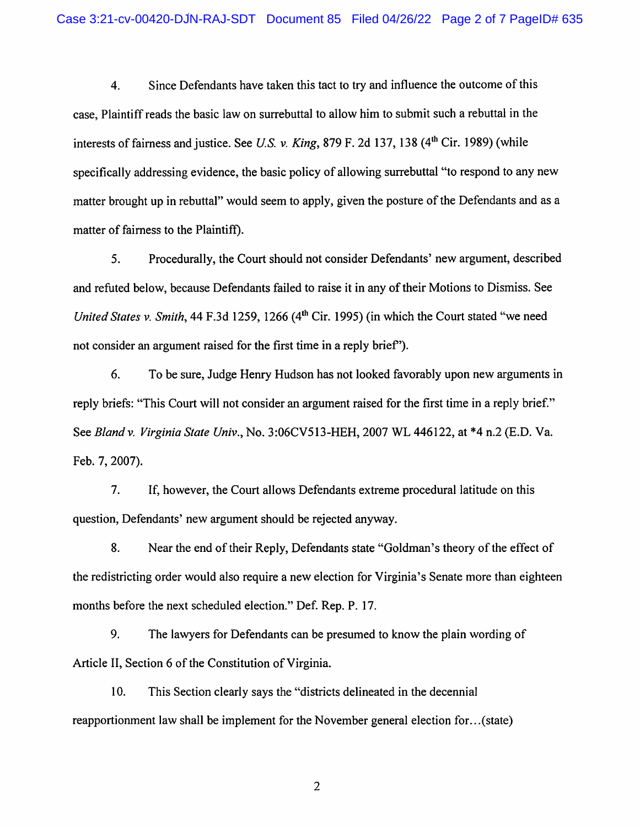4. Since Defendants have taken this tact to try and influence the outcome of this case. Plaintiff reads the basic law on surrebuttal to allow him to submit such a rebuttal in the interests of fairness and justice. See U.S. v. King, 879 F. 2d 137, 138 (4<sup>th</sup> Cir. 1989) (while specifically addressing evidence, the basic policy of allowing surrebuttal "to respond to any new matter brought up in rebuttal" would seem to apply, given the posture of the Defendants and as a matter of fairness to the Plaintiff).

5. Procedurally, the Court should not consider Defendants' new argument, described and refuted below, because Defendants failed to raise it in any of their Motions to Dismiss. See United States v. Smith, 44 F.3d 1259, 1266 (4<sup>th</sup> Cir. 1995) (in which the Court stated "we need not consider an argument raised for the first time in a reply brief").

6. To be sure. Judge Henry Hudson has not looked favorably upon new arguments in reply briefs: "This Court will not consider an argument raised for the first time in a reply brief." See Bland v. Virginia State Univ., No. 3:06CV513-HEH, 2007 WL 446122, at \*4 n.2 (E.D. Va. Feb. 7, 2007).

7. If, however, the Court allows Defendants extreme procedural latitude on this question. Defendants' new argument should be rejected anyway.

8. Near the end of their Reply, Defendants state "Goldman's theory of the effect of the redistricting order would also require a new election for Virginia's Senate more than eighteen months before the next scheduled election." Def. Rep. P. 17.

9. The lawyers for Defendants can be presumed to know the plain wording of Article II, Section 6 of the Constitution of Virginia.

10. This Section clearly says the "districts delineated in the decennial reapportionment law shall be implement for the November general election for...(state)

 $\overline{2}$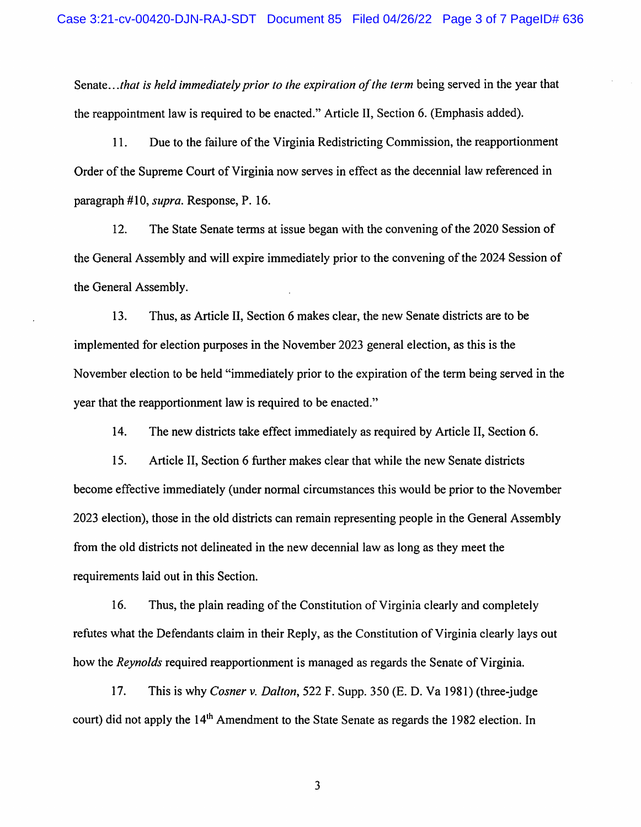Senate... that is held immediately prior to the expiration of the term being served in the year that the reappointment law is required to be enacted." Article II, Section 6. (Emphasis added).

11. Due to the failure of the Virginia Redistricting Commission, the reapportionment Order of the Supreme Court of Virginia now serves in effect as the decennial law referenced in paragraph #10, supra. Response, P. 16.

12. The State Senate terms at issue began with the convening of the 2020 Session of the General Assembly and will expire immediately prior to the convening of the 2024 Session of the General Assembly.

13. Thus, as Article II, Section 6 makes clear, the new Senate districts are to be implemented for election purposes in the November 2023 general election, as this is the November election to be held "immediately prior to the expiration of the term being served in the year that the reapportionment law is required to be enacted."

14. The new districts take effect immediately as required by Article II, Section 6.

15. Article II, Section 6 further makes clear that while the new Senate districts become effective immediately (under normal circumstances this would be prior to the November 2023 election), those in the old districts can remain representing people in the General Assembly from the old districts not delineated in the new decennial law as long as they meet the requirements laid out in this Section.

16. Thus, the plain reading of the Constitution of Virginia clearly and completely refutes what the Defendants claim in their Reply, as the Constitution of Virginia clearly lays out how the Reynolds required reapportionment is managed as regards the Senate of Virginia.

17. This is why Cosner v. Dalton, 522 F. Supp. 350 (E. D. Va 1981) (three-judge court) did not apply the 14<sup>th</sup> Amendment to the State Senate as regards the 1982 election. In

3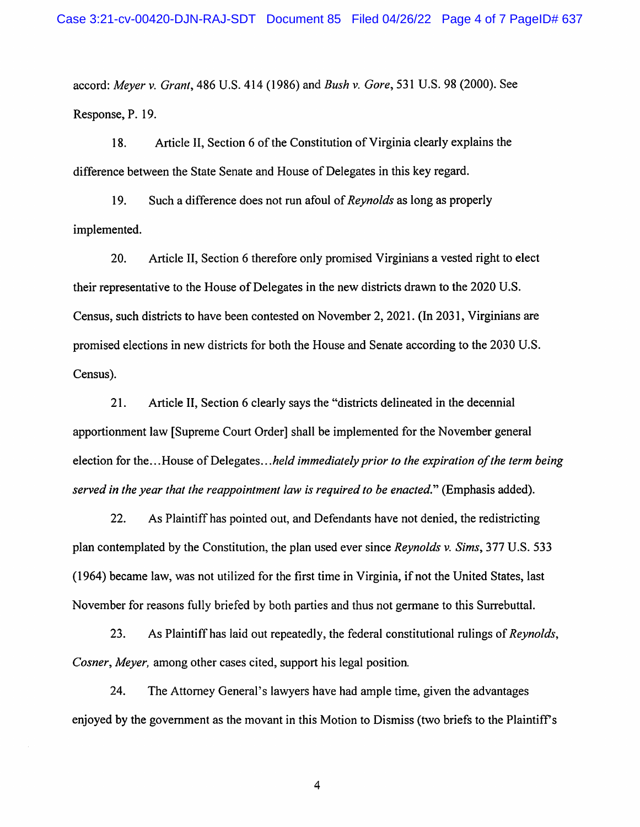accord: Meyer v. Grant, 486 U.S. 414 (1986) and Bush v. Gore, 531 U.S. 98 (2000). See Response, P. 19.

18. Article II, Section 6 of the Constitution of Virginia clearly explains the difference between the State Senate and House of Delegates in this key regard.

19. Such a difference does not run afoul of Reynolds as long as properly implemented.

20. Article II, Section 6 therefore only promised Virginians a vested right to elect their representative to the House of Delegates in the new districts drawn to the 2020 U.S. Census, such districts to have been contested on November 2, 2021. (In 2031, Virginians are promised elections in new districts for both the House and Senate according to the 2030 U.S. Census).

21. Article II, Section 6 clearly says the "districts delineated in the decennial apportionment law [Supreme Court Order] shall be implemented for the November general election for the...House of Delegates...held immediately prior to the expiration of the term being served in the year that the reappointment law is required to be enacted." (Emphasis added).

22. As Plaintiff has pointed out, and Defendants have not denied, the redistricting plan contemplated by the Constitution, the plan used ever since Reynolds v. Sims, 377 U.S. 533 (1964) became law, was not utilized for the first time in Virginia, if not the United States, last November for reasons fully briefed by both parties and thus not germane to this Surrebuttal.

23. As Plaintiff has laid out repeatedly, the federal constitutional rulings of Reynolds, Cosner, Meyer, among other cases cited, support his legal position.

24. The Attorney General's lawyers have had ample time, given the advantages enjoyed by the govemment as the movant in this Motion to Dismiss (two briefs to the Plaintiffs

 $\overline{4}$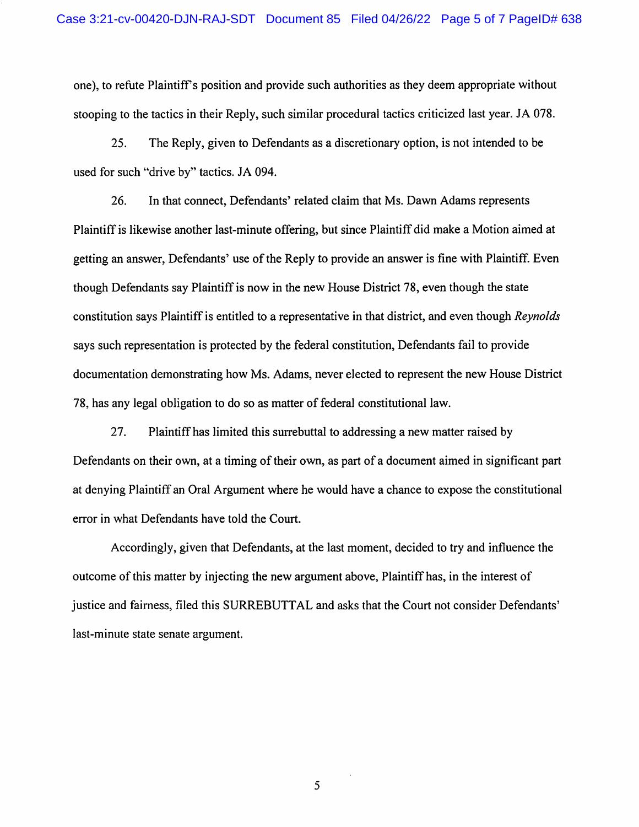one), to refute Plaintiff's position and provide such authorities as they deem appropriate without stooping to the tactics in their Reply, such similar procedural tactics criticized last year. JA 078.

25. The Reply, given to Defendants as a discretionary option, is not intended to be used for such "drive by" tactics. JA 094.

26. In that connect, Defendants' related claim that Ms. Dawn Adams represents Plaintiff is likewise another last-minute offering, but since Plaintiff did make a Motion aimed at getting an answer, Defendants' use of the Reply to provide an answer is fine with Plaintiff. Even though Defendants say Plaintiff is now in the new House District 78, even though the state constitution says Plaintiff is entitled to a representative in that district, and even though Reynolds says such representation is protected by the federal constitution. Defendants fail to provide documentation demonstrating how Ms. Adams, never elected to represent the new House District 78, has any legal obligation to do so as matter of federal constitutional law.

27. Plaintiff has limited this surrebuttal to addressing a new matter raised by Defendants on their own, at a timing of their own, as part of a document aimed in significant part at denying Plaintiff an Oral Argument where he would have a chance to expose the constitutional error in what Defendants have told the Court.

Accordingly, given that Defendants, at the last moment, decided to try and influence the outcome of this matter by injecting the new argument above. Plaintiff has, in the interest of justice and fairness, filed this SURREBUTTAL and asks that the Court not consider Defendants' last-minute state senate argument.

5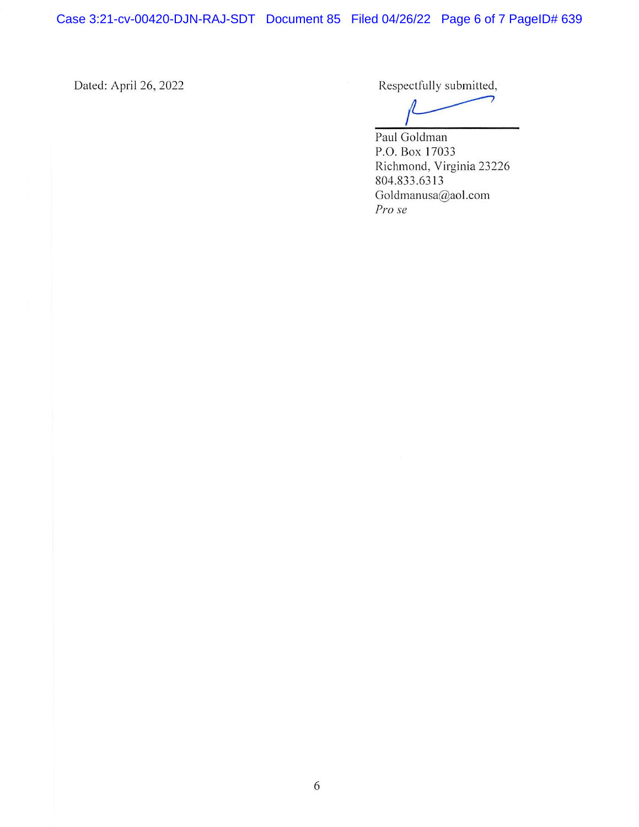Case 3:21-cv-00420-DJN-RAJ-SDT Document 85 Filed 04/26/22 Page 6 of 7 PageID# 639

Dated: April 26, 2022 Respectfully submitted,

Paul Goldman P.O.Box 17033 Richmond, Virginia 23226 804.833.6313 Goldmanusa@aol.com Pro se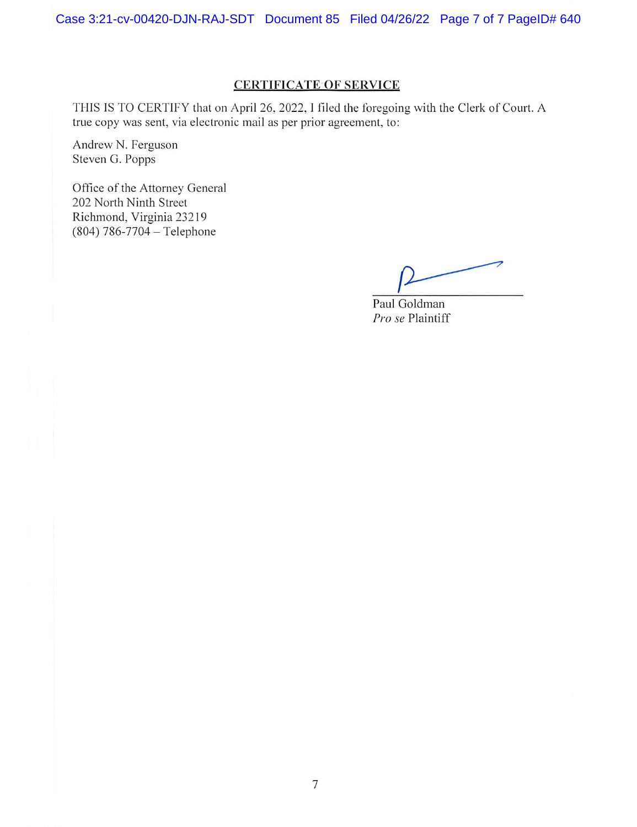## CERTIFICATE OF SERVICE

THIS IS TO CERTIFY that on April 26, 2022, I filed the foregoing with the Clerk of Court. A true copy was sent, via electronic mail as per prior agreement, to:

Andrew N. Ferguson Steven G. Popps

Office of the Attorney General 202 North Ninth Street Richmond, Virginia 23219  $(804) 786 - 7704 -$  Telephone

Paul Goldman Pro se Plaintiff